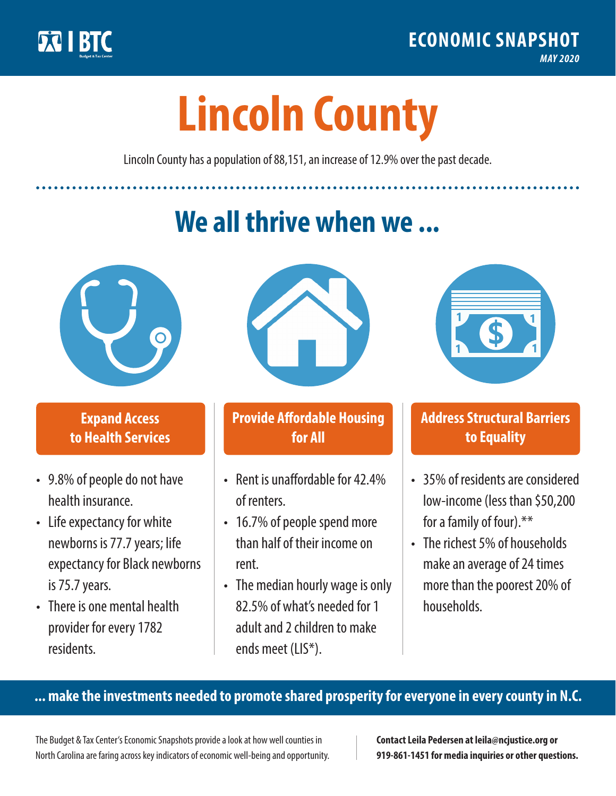

**1**

# **Lincoln County**

Lincoln County has a population of 88,151, an increase of 12.9% over the past decade.

# **We all thrive when we ...**



**\$ <sup>1</sup>**

**\$ <sup>1</sup>**

### **Expand Access to Health Services**

- 9.8% of people do not have health insurance.
- Life expectancy for white newborns is 77.7years; life expectancy for Black newborns is 75.7 years.
- There is one mental health provider for every 1782 residents.



### **Provide Affordable Housing for All**

- Rent is unaffordable for 42 4% of renters.
- 16.7% of people spend more than half of their income on rent.
- The median hourly wage is only 82.5% of what's needed for 1 adult and 2 children to make ends meet (LIS\*).



## **Address Structural Barriers to Equality**

- 35% of residents are considered low-income (less than \$50,200 for a family of four).\*\*
- The richest 5% of households make an average of 24 times more than the poorest 20% of households.

#### **... make the investments needed to promote shared prosperity for everyone in every county in N.C.**

The Budget & Tax Center's Economic Snapshots provide a look at how well counties in North Carolina are faring across key indicators of economic well-being and opportunity.